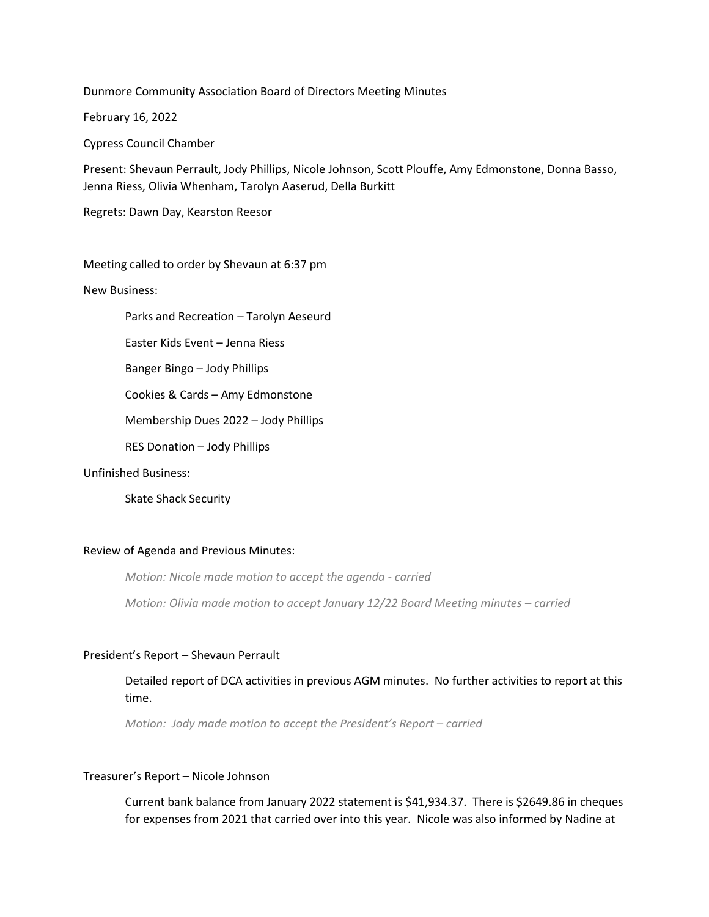Dunmore Community Association Board of Directors Meeting Minutes

February 16, 2022

Cypress Council Chamber

Present: Shevaun Perrault, Jody Phillips, Nicole Johnson, Scott Plouffe, Amy Edmonstone, Donna Basso, Jenna Riess, Olivia Whenham, Tarolyn Aaserud, Della Burkitt

Regrets: Dawn Day, Kearston Reesor

Meeting called to order by Shevaun at 6:37 pm

New Business:

Parks and Recreation – Tarolyn Aeseurd

Easter Kids Event – Jenna Riess

Banger Bingo – Jody Phillips

Cookies & Cards – Amy Edmonstone

Membership Dues 2022 – Jody Phillips

RES Donation – Jody Phillips

# Unfinished Business:

Skate Shack Security

# Review of Agenda and Previous Minutes:

*Motion: Nicole made motion to accept the agenda - carried*

*Motion: Olivia made motion to accept January 12/22 Board Meeting minutes – carried*

## President's Report – Shevaun Perrault

# Detailed report of DCA activities in previous AGM minutes. No further activities to report at this time.

*Motion: Jody made motion to accept the President's Report – carried*

# Treasurer's Report – Nicole Johnson

Current bank balance from January 2022 statement is \$41,934.37. There is \$2649.86 in cheques for expenses from 2021 that carried over into this year. Nicole was also informed by Nadine at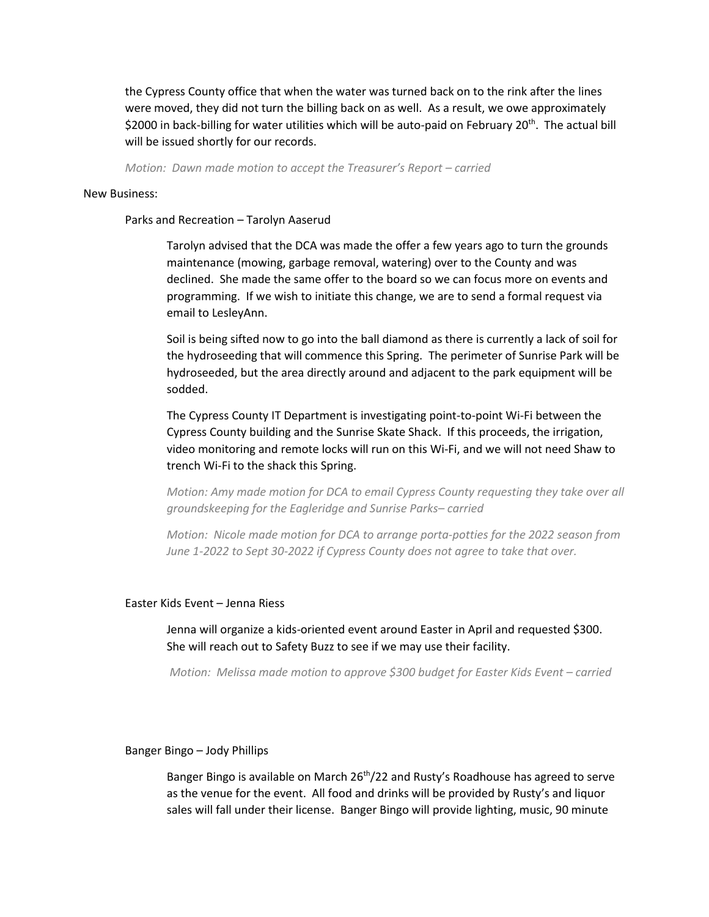the Cypress County office that when the water was turned back on to the rink after the lines were moved, they did not turn the billing back on as well. As a result, we owe approximately \$2000 in back-billing for water utilities which will be auto-paid on February 20<sup>th</sup>. The actual bill will be issued shortly for our records.

*Motion: Dawn made motion to accept the Treasurer's Report – carried*

#### New Business:

Parks and Recreation – Tarolyn Aaserud

Tarolyn advised that the DCA was made the offer a few years ago to turn the grounds maintenance (mowing, garbage removal, watering) over to the County and was declined. She made the same offer to the board so we can focus more on events and programming. If we wish to initiate this change, we are to send a formal request via email to LesleyAnn.

Soil is being sifted now to go into the ball diamond as there is currently a lack of soil for the hydroseeding that will commence this Spring. The perimeter of Sunrise Park will be hydroseeded, but the area directly around and adjacent to the park equipment will be sodded.

The Cypress County IT Department is investigating point-to-point Wi-Fi between the Cypress County building and the Sunrise Skate Shack. If this proceeds, the irrigation, video monitoring and remote locks will run on this Wi-Fi, and we will not need Shaw to trench Wi-Fi to the shack this Spring.

*Motion: Amy made motion for DCA to email Cypress County requesting they take over all groundskeeping for the Eagleridge and Sunrise Parks– carried*

*Motion: Nicole made motion for DCA to arrange porta-potties for the 2022 season from June 1-2022 to Sept 30-2022 if Cypress County does not agree to take that over.*

#### Easter Kids Event – Jenna Riess

Jenna will organize a kids-oriented event around Easter in April and requested \$300. She will reach out to Safety Buzz to see if we may use their facility.

*Motion: Melissa made motion to approve \$300 budget for Easter Kids Event – carried* 

## Banger Bingo – Jody Phillips

Banger Bingo is available on March  $26<sup>th</sup>/22$  and Rusty's Roadhouse has agreed to serve as the venue for the event. All food and drinks will be provided by Rusty's and liquor sales will fall under their license. Banger Bingo will provide lighting, music, 90 minute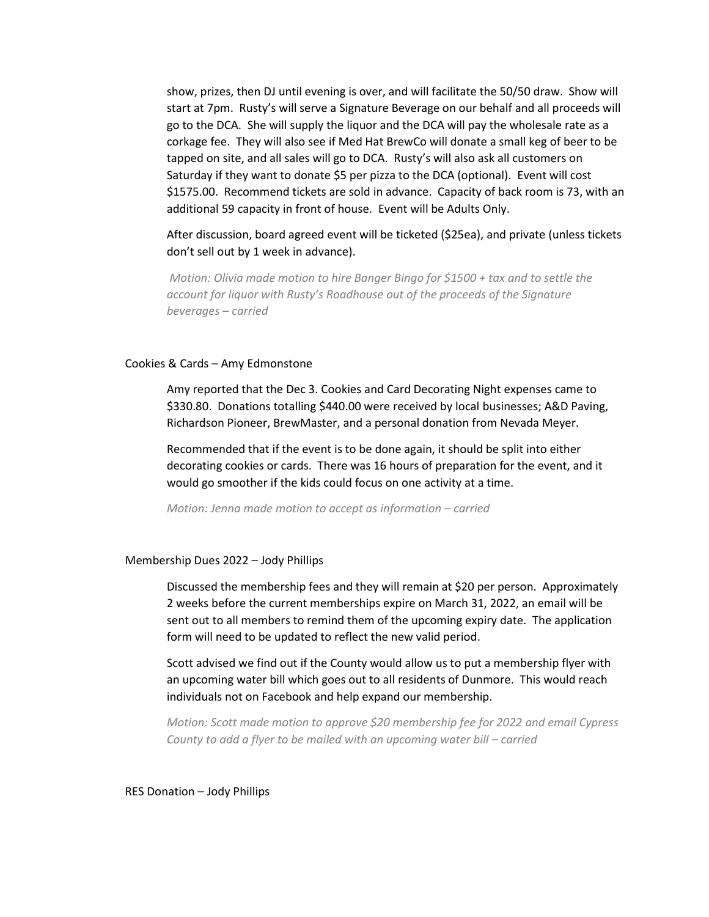show, prizes, then DJ until evening is over, and will facilitate the 50/50 draw. Show will start at 7pm. Rusty's will serve a Signature Beverage on our behalf and all proceeds will go to the DCA. She will supply the liquor and the DCA will pay the wholesale rate as a corkage fee. They will also see if Med Hat BrewCo will donate a small keg of beer to be tapped on site, and all sales will go to DCA. Rusty's will also ask all customers on Saturday if they want to donate \$5 per pizza to the DCA (optional). Event will cost \$1575.00. Recommend tickets are sold in advance. Capacity of back room is 73, with an additional 59 capacity in front of house. Event will be Adults Only.

After discussion, board agreed event will be ticketed (\$25ea), and private (unless tickets don't sell out by 1 week in advance).

*Motion: Olivia made motion to hire Banger Bingo for \$1500 + tax and to settle the account for liquor with Rusty's Roadhouse out of the proceeds of the Signature beverages – carried*

#### Cookies & Cards – Amy Edmonstone

Amy reported that the Dec 3. Cookies and Card Decorating Night expenses came to \$330.80. Donations totalling \$440.00 were received by local businesses; A&D Paving, Richardson Pioneer, BrewMaster, and a personal donation from Nevada Meyer.

Recommended that if the event is to be done again, it should be split into either decorating cookies or cards. There was 16 hours of preparation for the event, and it would go smoother if the kids could focus on one activity at a time.

*Motion: Jenna made motion to accept as information – carried*

## Membership Dues 2022 – Jody Phillips

Discussed the membership fees and they will remain at \$20 per person. Approximately 2 weeks before the current memberships expire on March 31, 2022, an email will be sent out to all members to remind them of the upcoming expiry date. The application form will need to be updated to reflect the new valid period.

Scott advised we find out if the County would allow us to put a membership flyer with an upcoming water bill which goes out to all residents of Dunmore. This would reach individuals not on Facebook and help expand our membership.

*Motion: Scott made motion to approve \$20 membership fee for 2022 and email Cypress County to add a flyer to be mailed with an upcoming water bill – carried*

RES Donation – Jody Phillips